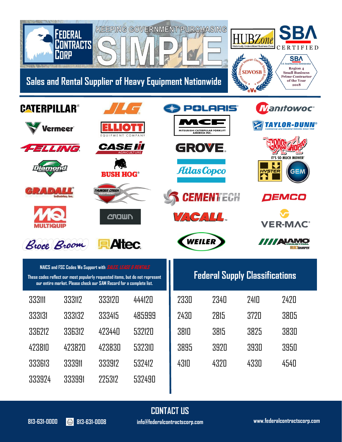

| NAICS and FSC Codes We Support with SALES, LEASE & RENTALS |  |  |
|------------------------------------------------------------|--|--|
|                                                            |  |  |

**These codes reflect our most popularly requested items, but do not represent our entire market. Please check our SAM Record for a complete list.**

| 333111 | 333117 | 333120 | 444120 |
|--------|--------|--------|--------|
| 333131 | 333132 | 333415 | 485999 |
| 336212 | 336317 | 423440 | 532120 |
| 423810 | 473870 | 423830 | 532310 |
| 333613 | 333911 | 333912 | 532412 |
| 333924 | 333991 | 225312 | 532490 |

|  | <b>Federal Supply Classifications</b> |  |  |
|--|---------------------------------------|--|--|
|  |                                       |  |  |

| 2330 | 2340 | 2410 | 2420 |
|------|------|------|------|
| 2430 | 2815 | 3720 | 3805 |
| 3810 | 3815 | 3825 | 3830 |
| 3895 | 3920 | 3930 | 3950 |
| 4310 | 4320 | 4330 | 4540 |

**CONTACT US 813-631-0000 813-631-0008 info@federalcontractscorp.com**